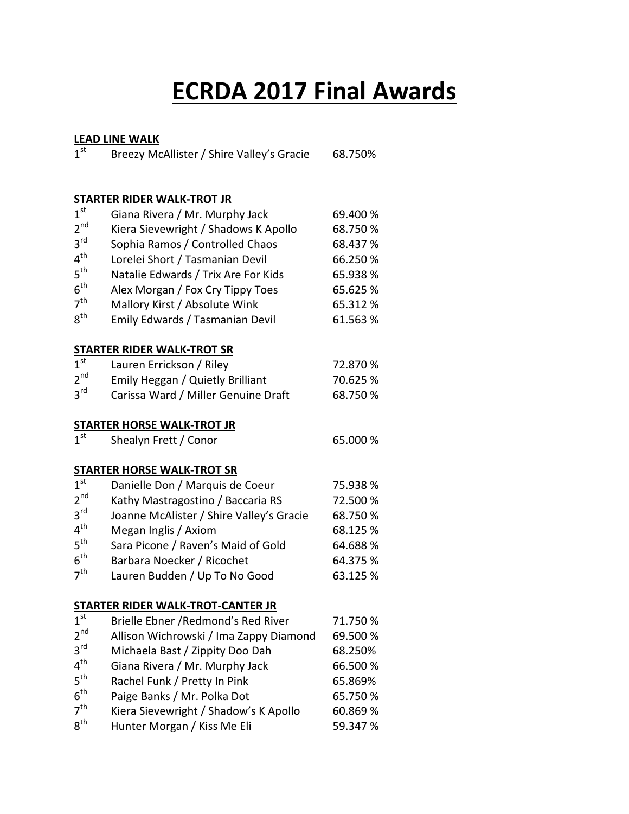# **ECRDA 2017 Final Awards**

#### **LEAD LINE WALK**

 $3<sup>rd</sup>$ 

 $4<sup>th</sup>$ 

 $5<sup>th</sup>$ 

 $6<sup>th</sup>$ 

 $7<sup>th</sup>$ 

 $8<sup>th</sup>$ 

 $1^{\text{st}}$ Breezy McAllister / Shire Valley's Gracie 68.750%

### **STARTER RIDER WALK-TROT JR**

|                 | <u>STAINTEN NIDEN WALN-TINOT JIN</u>     |          |
|-----------------|------------------------------------------|----------|
| 1 <sup>st</sup> | Giana Rivera / Mr. Murphy Jack           | 69.400 % |
| 2 <sup>nd</sup> | Kiera Sievewright / Shadows K Apollo     | 68.750 % |
| 3 <sup>rd</sup> | Sophia Ramos / Controlled Chaos          | 68.437 % |
| $4^{\text{th}}$ | Lorelei Short / Tasmanian Devil          | 66.250 % |
| 5 <sup>th</sup> | Natalie Edwards / Trix Are For Kids      | 65.938 % |
| 6 <sup>th</sup> | Alex Morgan / Fox Cry Tippy Toes         | 65.625 % |
| 7 <sup>th</sup> | Mallory Kirst / Absolute Wink            | 65.312 % |
| 8 <sup>th</sup> | Emily Edwards / Tasmanian Devil          | 61.563%  |
|                 | <b>STARTER RIDER WALK-TROT SR</b>        |          |
| 1 <sup>st</sup> | Lauren Errickson / Riley                 | 72.870 % |
| 2 <sup>nd</sup> | Emily Heggan / Quietly Brilliant         | 70.625 % |
| 3 <sup>rd</sup> | Carissa Ward / Miller Genuine Draft      | 68.750 % |
|                 | <b>STARTER HORSE WALK-TROT JR</b>        |          |
| 1 <sup>st</sup> | Shealyn Frett / Conor                    | 65.000 % |
|                 | <b>STARTER HORSE WALK-TROT SR</b>        |          |
| 1 <sup>st</sup> | Danielle Don / Marquis de Coeur          | 75.938 % |
| 2 <sup>nd</sup> | Kathy Mastragostino / Baccaria RS        | 72.500 % |
| 3 <sup>rd</sup> | Joanne McAlister / Shire Valley's Gracie | 68.750 % |
| 4 <sup>th</sup> | Megan Inglis / Axiom                     | 68.125 % |
| 5 <sup>th</sup> | Sara Picone / Raven's Maid of Gold       | 64.688%  |
| $6^{\text{th}}$ | Barbara Noecker / Ricochet               | 64.375 % |
| 7 <sup>th</sup> | Lauren Budden / Up To No Good            | 63.125 % |
|                 | <b>STARTER RIDER WALK-TROT-CANTER JR</b> |          |
| 1 <sup>st</sup> | Brielle Ebner / Redmond's Red River      | 71.750 % |
| 2 <sup>nd</sup> | Allison Wichrowski / Ima Zappy Diamond   | 69.500 % |

Michaela Bast / Zippity Doo Dah 68.250%

Giana Rivera / Mr. Murphy Jack 66.500 %

Rachel Funk / Pretty In Pink 65.869%

Paige Banks / Mr. Polka Dot 65.750 %

Kiera Sievewright / Shadow's K Apollo 60.869 %

Hunter Morgan / Kiss Me Eli 59.347 %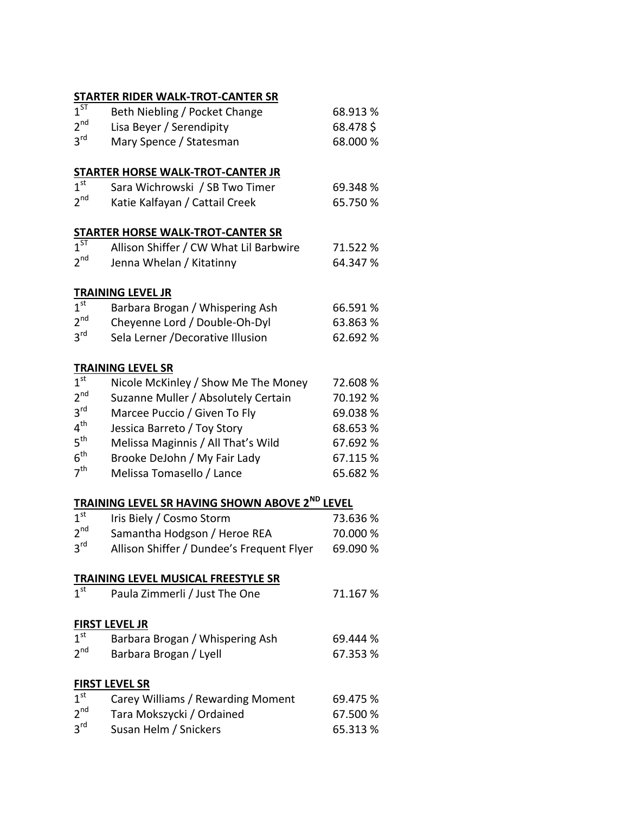| JIMIII                              | <b>WIDER WALK-TROT-CANTER 3R</b>                                 |          |  |
|-------------------------------------|------------------------------------------------------------------|----------|--|
| $1^{5\bar{7}}$                      | Beth Niebling / Pocket Change                                    | 68.913 % |  |
| $2^{\text{nd}}$                     | Lisa Beyer / Serendipity                                         | 68.478\$ |  |
| 3 <sup>rd</sup>                     | Mary Spence / Statesman                                          | 68.000 % |  |
|                                     |                                                                  |          |  |
| 1 <sup>st</sup>                     | STARTER HORSE WALK-TROT-CANTER JR                                |          |  |
|                                     | Sara Wichrowski / SB Two Timer                                   | 69.348 % |  |
| $2^{\text{nd}}$                     | Katie Kalfayan / Cattail Creek                                   | 65.750 % |  |
|                                     | <b>STARTER HORSE WALK-TROT-CANTER SR</b>                         |          |  |
| $1^{ST}$                            | Allison Shiffer / CW What Lil Barbwire                           | 71.522 % |  |
| 2 <sup>nd</sup>                     | Jenna Whelan / Kitatinny                                         | 64.347 % |  |
|                                     | <b>TRAINING LEVEL JR</b>                                         |          |  |
| 1 <sup>st</sup>                     |                                                                  |          |  |
| 2 <sup>nd</sup>                     | Barbara Brogan / Whispering Ash                                  | 66.591 % |  |
|                                     | Cheyenne Lord / Double-Oh-Dyl                                    | 63.863 % |  |
| 3 <sup>rd</sup>                     | Sela Lerner / Decorative Illusion                                | 62.692 % |  |
|                                     | <b>TRAINING LEVEL SR</b>                                         |          |  |
| 1 <sup>st</sup>                     | Nicole McKinley / Show Me The Money                              | 72.608 % |  |
| 2 <sup>nd</sup>                     | Suzanne Muller / Absolutely Certain                              | 70.192 % |  |
| 3 <sup>rd</sup>                     | Marcee Puccio / Given To Fly                                     | 69.038%  |  |
| 4 <sup>th</sup>                     | Jessica Barreto / Toy Story                                      | 68.653 % |  |
| $5^{\text{th}}$                     | Melissa Maginnis / All That's Wild                               | 67.692 % |  |
| 6 <sup>th</sup>                     | Brooke DeJohn / My Fair Lady                                     | 67.115 % |  |
| 7 <sup>th</sup>                     | Melissa Tomasello / Lance                                        | 65.682 % |  |
|                                     | <b>TRAINING LEVEL SR HAVING SHOWN ABOVE 2<sup>ND</sup> LEVEL</b> |          |  |
| 1 <sup>st</sup>                     |                                                                  |          |  |
| 2 <sub>nd</sub>                     | Iris Biely / Cosmo Storm                                         | 73.636%  |  |
| 3 <sup>rd</sup>                     | Samantha Hodgson / Heroe REA                                     | 70.000 % |  |
|                                     | Allison Shiffer / Dundee's Frequent Flyer                        | 69.090 % |  |
| TRAINING LEVEL MUSICAL FREESTYLE SR |                                                                  |          |  |
| 1 <sup>st</sup>                     | Paula Zimmerli / Just The One                                    | 71.167%  |  |
|                                     | <b>FIRST LEVEL JR</b>                                            |          |  |
| $1^{\text{st}}$                     | Barbara Brogan / Whispering Ash                                  | 69.444 % |  |
| 2 <sup>nd</sup>                     | Barbara Brogan / Lyell                                           | 67.353 % |  |
|                                     |                                                                  |          |  |
|                                     |                                                                  |          |  |

#### **FIRST LEVEL SR** 1<sup>st</sup> Carey Williams / Rewarding Moment 69.475 %  $\frac{1^{st}}{2^{nd}}$ Tara Mokszycki / Ordained 67.500 %

|                 | $10.01$ $11.01$ $0.02$ $1$ $0.01$ $1$ $0.001$ $1.000$ | -------  |
|-----------------|-------------------------------------------------------|----------|
| $3^{\text{rd}}$ | Susan Helm / Snickers                                 | 65.313 % |
|                 |                                                       |          |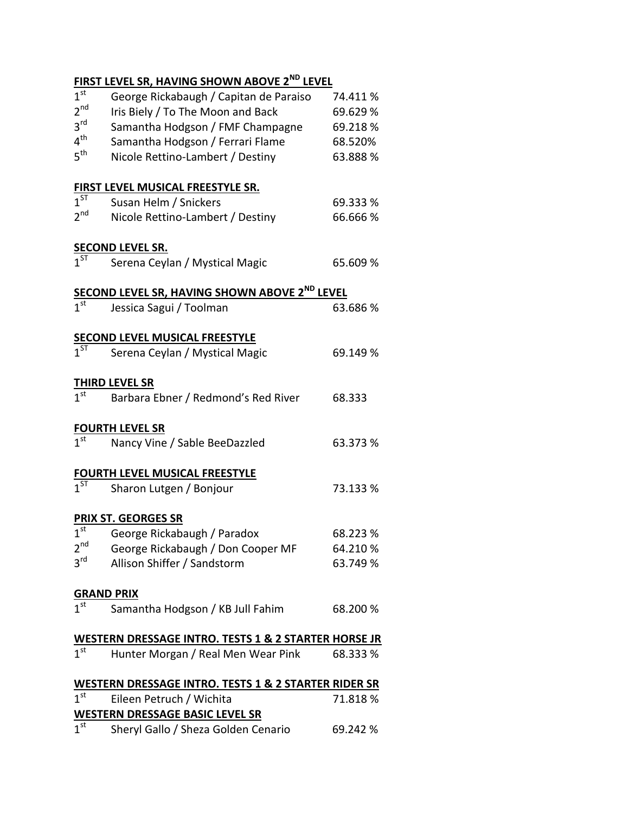## **FIRST LEVEL SR, HAVING SHOWN ABOVE 2ND LEVEL**

| $1^{\text{st}}$                            | George Rickabaugh / Capitan de Paraiso                                        | 74.411%  |
|--------------------------------------------|-------------------------------------------------------------------------------|----------|
| 2 <sup>nd</sup>                            | Iris Biely / To The Moon and Back                                             | 69.629%  |
| 3 <sup>rd</sup>                            | Samantha Hodgson / FMF Champagne                                              | 69.218%  |
| $4^{\text{th}}$                            | Samantha Hodgson / Ferrari Flame                                              | 68.520%  |
| 5 <sup>th</sup>                            | Nicole Rettino-Lambert / Destiny                                              | 63.888 % |
|                                            |                                                                               |          |
|                                            | <b>FIRST LEVEL MUSICAL FREESTYLE SR.</b>                                      |          |
| $1^{ST}$                                   | Susan Helm / Snickers                                                         | 69.333 % |
| 2 <sup>nd</sup>                            | Nicole Rettino-Lambert / Destiny                                              | 66.666 % |
|                                            |                                                                               |          |
|                                            | <b>SECOND LEVEL SR.</b>                                                       |          |
| $1^{ST}$                                   | Serena Ceylan / Mystical Magic                                                | 65.609 % |
|                                            | SECOND LEVEL SR, HAVING SHOWN ABOVE 2 <sup>ND</sup> LEVEL                     |          |
| 1 <sup>st</sup>                            | Jessica Sagui / Toolman                                                       | 63.686 % |
|                                            |                                                                               |          |
|                                            | <b>SECOND LEVEL MUSICAL FREESTYLE</b>                                         |          |
| $1^{ST}$                                   | Serena Ceylan / Mystical Magic                                                | 69.149 % |
|                                            |                                                                               |          |
|                                            | <b>THIRD LEVEL SR</b>                                                         |          |
| $\overline{1}$ <sup>st</sup>               | Barbara Ebner / Redmond's Red River                                           | 68.333   |
|                                            |                                                                               |          |
|                                            |                                                                               |          |
|                                            | <b>FOURTH LEVEL SR</b>                                                        |          |
| 1 <sup>st</sup>                            | Nancy Vine / Sable BeeDazzled                                                 | 63.373 % |
|                                            |                                                                               |          |
|                                            | <b>FOURTH LEVEL MUSICAL FREESTYLE</b>                                         |          |
| $1^{ST}$                                   | Sharon Lutgen / Bonjour                                                       | 73.133 % |
|                                            |                                                                               |          |
|                                            | PRIX ST. GEORGES SR                                                           |          |
| $\overline{1}^{\rm st}$<br>2 <sup>nd</sup> | George Rickabaugh / Paradox                                                   | 68.223 % |
| $3^{\text{rd}}$                            | George Rickabaugh / Don Cooper MF                                             | 64.210 % |
|                                            | Allison Shiffer / Sandstorm                                                   | 63.749 % |
| <b>GRAND PRIX</b>                          |                                                                               |          |
| 1 <sup>st</sup>                            | Samantha Hodgson / KB Jull Fahim                                              | 68.200 % |
|                                            |                                                                               |          |
|                                            | WESTERN DRESSAGE INTRO. TESTS 1 & 2 STARTER HORSE JR                          |          |
| 1 <sup>st</sup>                            | Hunter Morgan / Real Men Wear Pink                                            | 68.333 % |
|                                            |                                                                               |          |
|                                            | <b>WESTERN DRESSAGE INTRO. TESTS 1 &amp; 2 STARTER RIDER SR</b>               |          |
| 1 <sup>st</sup>                            | Eileen Petruch / Wichita                                                      | 71.818%  |
| 1 <sup>st</sup>                            | <b>WESTERN DRESSAGE BASIC LEVEL SR</b><br>Sheryl Gallo / Sheza Golden Cenario | 69.242 % |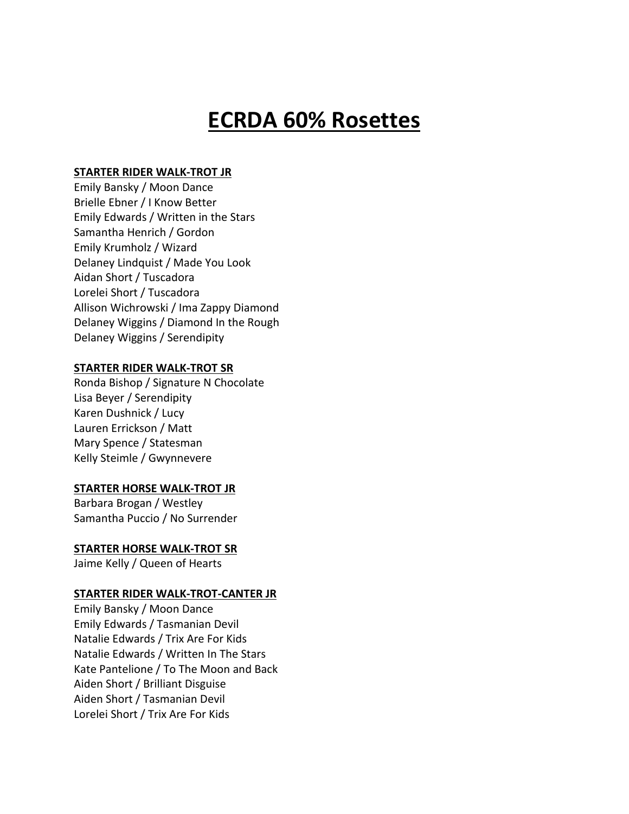## **ECRDA 60% Rosettes**

#### **STARTER RIDER WALK-TROT JR**

Emily Bansky / Moon Dance Brielle Ebner / I Know Better Emily Edwards / Written in the Stars Samantha Henrich / Gordon Emily Krumholz / Wizard Delaney Lindquist / Made You Look Aidan Short / Tuscadora Lorelei Short / Tuscadora Allison Wichrowski / Ima Zappy Diamond Delaney Wiggins / Diamond In the Rough Delaney Wiggins / Serendipity

#### **STARTER RIDER WALK-TROT SR**

Ronda Bishop / Signature N Chocolate Lisa Beyer / Serendipity Karen Dushnick / Lucy Lauren Errickson / Matt Mary Spence / Statesman Kelly Steimle / Gwynnevere

#### **STARTER HORSE WALK-TROT JR**

Barbara Brogan / Westley Samantha Puccio / No Surrender

#### **STARTER HORSE WALK-TROT SR**

Jaime Kelly / Queen of Hearts

#### **STARTER RIDER WALK-TROT-CANTER JR**

Emily Bansky / Moon Dance Emily Edwards / Tasmanian Devil Natalie Edwards / Trix Are For Kids Natalie Edwards / Written In The Stars Kate Pantelione / To The Moon and Back Aiden Short / Brilliant Disguise Aiden Short / Tasmanian Devil Lorelei Short / Trix Are For Kids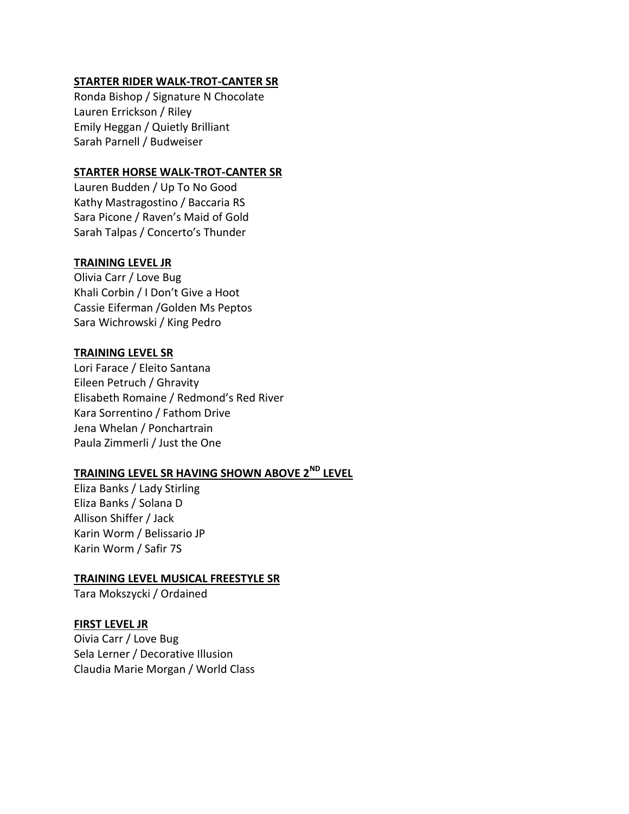#### **STARTER RIDER WALK-TROT-CANTER SR**

Ronda Bishop / Signature N Chocolate Lauren Errickson / Riley Emily Heggan / Quietly Brilliant Sarah Parnell / Budweiser

#### **STARTER HORSE WALK-TROT-CANTER SR**

Lauren Budden / Up To No Good Kathy Mastragostino / Baccaria RS Sara Picone / Raven's Maid of Gold Sarah Talpas / Concerto's Thunder

#### **TRAINING LEVEL JR**

Olivia Carr / Love Bug Khali Corbin / I Don't Give a Hoot Cassie Eiferman /Golden Ms Peptos Sara Wichrowski / King Pedro

#### **TRAINING LEVEL SR**

Lori Farace / Eleito Santana Eileen Petruch / Ghravity Elisabeth Romaine / Redmond's Red River Kara Sorrentino / Fathom Drive Jena Whelan / Ponchartrain Paula Zimmerli / Just the One

## **TRAINING LEVEL SR HAVING SHOWN ABOVE 2ND LEVEL**

Eliza Banks / Lady Stirling Eliza Banks / Solana D Allison Shiffer / Jack Karin Worm / Belissario JP Karin Worm / Safir 7S

#### **TRAINING LEVEL MUSICAL FREESTYLE SR**

Tara Mokszycki / Ordained

#### **FIRST LEVEL JR**

Oivia Carr / Love Bug Sela Lerner / Decorative Illusion Claudia Marie Morgan / World Class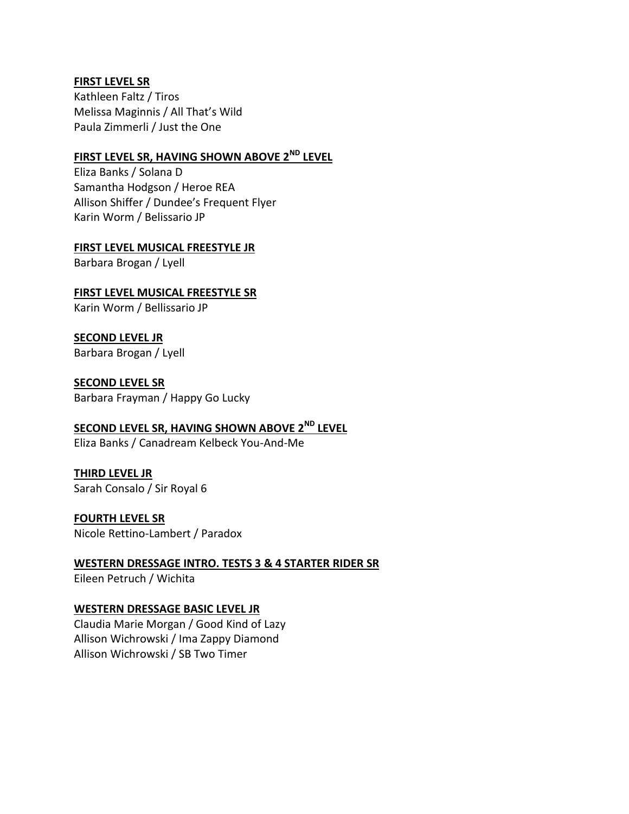#### **FIRST LEVEL SR**

Kathleen Faltz / Tiros Melissa Maginnis / All That's Wild Paula Zimmerli / Just the One

## **FIRST LEVEL SR, HAVING SHOWN ABOVE 2ND LEVEL**

Eliza Banks / Solana D Samantha Hodgson / Heroe REA Allison Shiffer / Dundee's Frequent Flyer Karin Worm / Belissario JP

#### **FIRST LEVEL MUSICAL FREESTYLE JR**

Barbara Brogan / Lyell

**FIRST LEVEL MUSICAL FREESTYLE SR** Karin Worm / Bellissario JP

**SECOND LEVEL JR** Barbara Brogan / Lyell

**SECOND LEVEL SR** Barbara Frayman / Happy Go Lucky

## **SECOND LEVEL SR, HAVING SHOWN ABOVE 2ND LEVEL**

Eliza Banks / Canadream Kelbeck You-And-Me

## **THIRD LEVEL JR**

Sarah Consalo / Sir Royal 6

### **FOURTH LEVEL SR**

Nicole Rettino-Lambert / Paradox

## **WESTERN DRESSAGE INTRO. TESTS 3 & 4 STARTER RIDER SR**

Eileen Petruch / Wichita

#### **WESTERN DRESSAGE BASIC LEVEL JR**

Claudia Marie Morgan / Good Kind of Lazy Allison Wichrowski / Ima Zappy Diamond Allison Wichrowski / SB Two Timer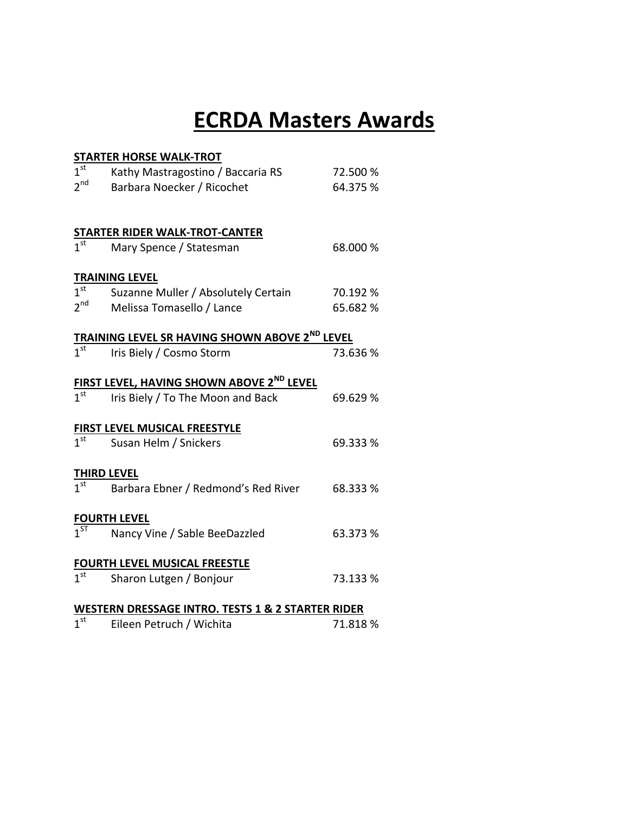## **ECRDA Masters Awards**

| <b>STARTER HORSE WALK-TROT</b>                                   |                                       |          |  |  |
|------------------------------------------------------------------|---------------------------------------|----------|--|--|
| 1 <sup>st</sup>                                                  | Kathy Mastragostino / Baccaria RS     | 72.500 % |  |  |
| 2 <sup>nd</sup>                                                  | Barbara Noecker / Ricochet            | 64.375 % |  |  |
|                                                                  |                                       |          |  |  |
|                                                                  | <b>STARTER RIDER WALK-TROT-CANTER</b> |          |  |  |
| 1 <sup>st</sup>                                                  | Mary Spence / Statesman               | 68.000 % |  |  |
|                                                                  | <b>TRAINING LEVEL</b>                 |          |  |  |
| 1 <sup>st</sup>                                                  | Suzanne Muller / Absolutely Certain   | 70.192 % |  |  |
| 2 <sup>nd</sup>                                                  | Melissa Tomasello / Lance             | 65.682 % |  |  |
| <u>TRAINING LEVEL SR HAVING SHOWN ABOVE 2<sup>ND</sup> LEVEL</u> |                                       |          |  |  |
| $\overline{1^{st}}$                                              | Iris Biely / Cosmo Storm              | 73.636 % |  |  |
| <b>FIRST LEVEL, HAVING SHOWN ABOVE 2<sup>ND</sup> LEVEL</b>      |                                       |          |  |  |
| $\overline{1^{st}}$                                              | Iris Biely / To The Moon and Back     | 69.629 % |  |  |
| <b>FIRST LEVEL MUSICAL FREESTYLE</b>                             |                                       |          |  |  |
| 1 <sup>st</sup>                                                  | Susan Helm / Snickers                 | 69.333 % |  |  |
| <b>THIRD LEVEL</b>                                               |                                       |          |  |  |
| 1 <sup>st</sup>                                                  | Barbara Ebner / Redmond's Red River   | 68.333 % |  |  |
|                                                                  | <b>FOURTH LEVEL</b>                   |          |  |  |
| $1^{ST}$                                                         | Nancy Vine / Sable BeeDazzled         | 63.373 % |  |  |
| <b>FOURTH LEVEL MUSICAL FREESTLE</b>                             |                                       |          |  |  |
| $\overline{1^{\text{st}}}$                                       | Sharon Lutgen / Bonjour               | 73.133 % |  |  |
| <b>WESTERN DRESSAGE INTRO. TESTS 1 &amp; 2 STARTER RIDER</b>     |                                       |          |  |  |
|                                                                  |                                       |          |  |  |

1<sup>st</sup> Eileen Petruch / Wichita 1988 71.818 %